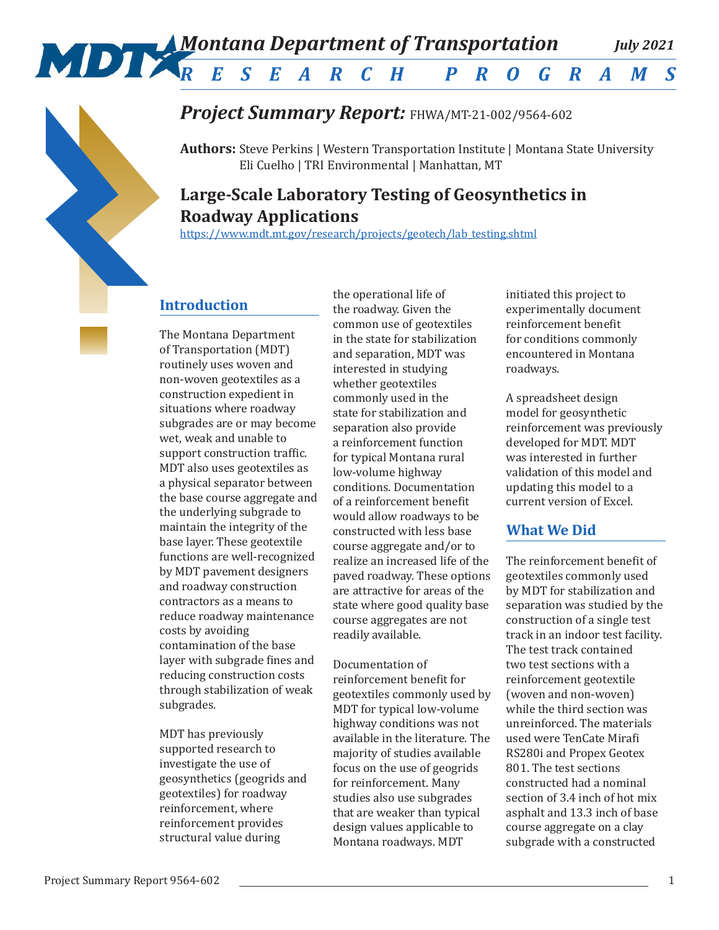#### *Montana Department of Transportation* MDTX *July 2021 RESEARCH PROGRAMS*

# *Project Summary Report:* FHWA/MT-21-002/9564-602

**Authors:** Steve Perkins | Western Transportation Institute | Montana State University Eli Cuelho | TRI Environmental | Manhattan, MT

# **Large-Scale Laboratory Testing of Geosynthetics in Roadway Applications**

[https://www.mdt.mt.gov/research/projects/geotech/lab\\_testing.shtml](https://www.mdt.mt.gov/research/projects/geotech/lab_testing.shtml)

## **Introduction**

The Montana Department of Transportation (MDT) routinely uses woven and non-woven geotextiles as a construction expedient in situations where roadway subgrades are or may become wet, weak and unable to support construction traffic. MDT also uses geotextiles as a physical separator between the base course aggregate and the underlying subgrade to maintain the integrity of the base layer. These geotextile functions are well-recognized by MDT pavement designers and roadway construction contractors as a means to reduce roadway maintenance costs by avoiding contamination of the base layer with subgrade fines and reducing construction costs through stabilization of weak subgrades.

MDT has previously supported research to investigate the use of geosynthetics (geogrids and geotextiles) for roadway reinforcement, where reinforcement provides structural value during

the operational life of the roadway. Given the common use of geotextiles in the state for stabilization and separation, MDT was interested in studying whether geotextiles commonly used in the state for stabilization and separation also provide a reinforcement function for typical Montana rural low-volume highway conditions. Documentation of a reinforcement benefit would allow roadways to be constructed with less base course aggregate and/or to realize an increased life of the paved roadway. These options are attractive for areas of the state where good quality base course aggregates are not readily available.

Documentation of reinforcement benefit for geotextiles commonly used by MDT for typical low-volume highway conditions was not available in the literature. The majority of studies available focus on the use of geogrids for reinforcement. Many studies also use subgrades that are weaker than typical design values applicable to Montana roadways. MDT

initiated this project to experimentally document reinforcement benefit for conditions commonly encountered in Montana roadways.

A spreadsheet design model for geosynthetic reinforcement was previously developed for MDT. MDT was interested in further validation of this model and updating this model to a current version of Excel.

## **What We Did**

The reinforcement benefit of geotextiles commonly used by MDT for stabilization and separation was studied by the construction of a single test track in an indoor test facility. The test track contained two test sections with a reinforcement geotextile (woven and non-woven) while the third section was unreinforced. The materials used were TenCate Mirafi RS280i and Propex Geotex 801. The test sections constructed had a nominal section of 3.4 inch of hot mix asphalt and 13.3 inch of base course aggregate on a clay subgrade with a constructed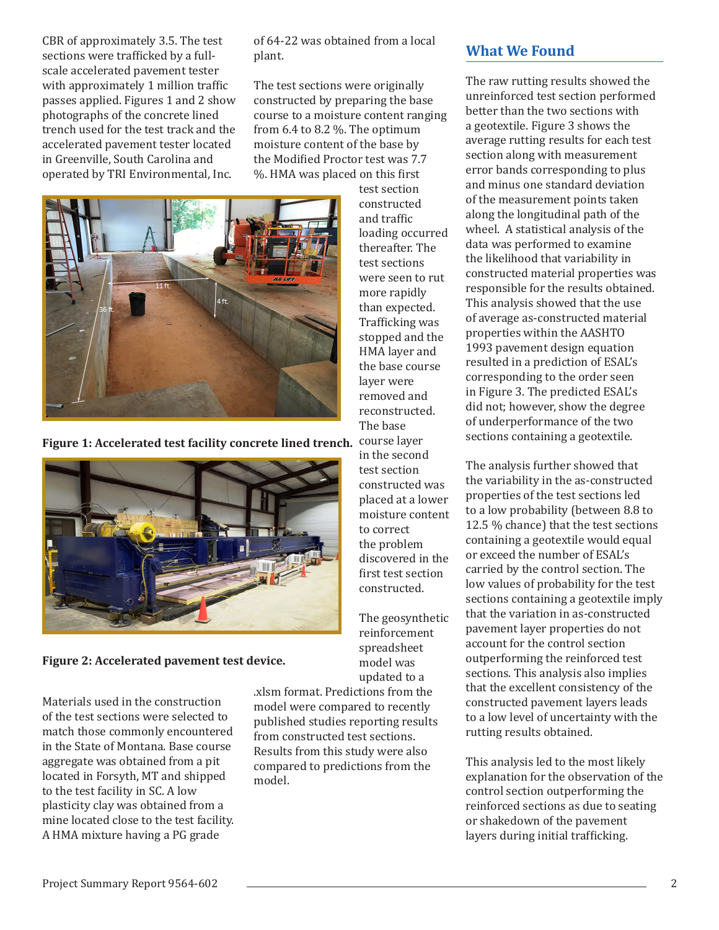CBR of approximately 3.5. The test sections were trafficked by a fullscale accelerated pavement tester with approximately 1 million traffic passes applied. Figures 1 and 2 show photographs of the concrete lined trench used for the test track and the accelerated pavement tester located in Greenville, South Carolina and operated by TRI Environmental, Inc.

of 64-22 was obtained from a local plant.

The test sections were originally constructed by preparing the base course to a moisture content ranging from 6.4 to 8.2 %. The optimum moisture content of the base by the Modified Proctor test was 7.7 %. HMA was placed on this first

> test section constructed and traffic loading occurred thereafter. The test sections were seen to rut more rapidly than expected. Trafficking was stopped and the HMA layer and the base course layer were removed and reconstructed. The base

in the second test section constructed was placed at a lower moisture content

to correct the problem discovered in the first test section constructed.

The geosynthetic reinforcement spreadsheet model was updated to a



**Figure 1: Accelerated test facility concrete lined trench.** course layer



### **Figure 2: Accelerated pavement test device.**

Materials used in the construction of the test sections were selected to match those commonly encountered in the State of Montana. Base course aggregate was obtained from a pit located in Forsyth, MT and shipped to the test facility in SC. A low plasticity clay was obtained from a mine located close to the test facility. A HMA mixture having a PG grade

.xlsm format. Predictions from the model were compared to recently published studies reporting results from constructed test sections. Results from this study were also compared to predictions from the model.

### **What We Found**

The raw rutting results showed the unreinforced test section performed better than the two sections with a geotextile. Figure 3 shows the average rutting results for each test section along with measurement error bands corresponding to plus and minus one standard deviation of the measurement points taken along the longitudinal path of the wheel. A statistical analysis of the data was performed to examine the likelihood that variability in constructed material properties was responsible for the results obtained. This analysis showed that the use of average as-constructed material properties within the AASHTO 1993 pavement design equation resulted in a prediction of ESAL's corresponding to the order seen in Figure 3. The predicted ESAL's did not; however, show the degree of underperformance of the two sections containing a geotextile.

The analysis further showed that the variability in the as-constructed properties of the test sections led to a low probability (between 8.8 to 12.5 % chance) that the test sections containing a geotextile would equal or exceed the number of ESAL's carried by the control section. The low values of probability for the test sections containing a geotextile imply that the variation in as-constructed pavement layer properties do not account for the control section outperforming the reinforced test sections. This analysis also implies that the excellent consistency of the constructed pavement layers leads to a low level of uncertainty with the rutting results obtained.

This analysis led to the most likely explanation for the observation of the control section outperforming the reinforced sections as due to seating or shakedown of the pavement layers during initial trafficking.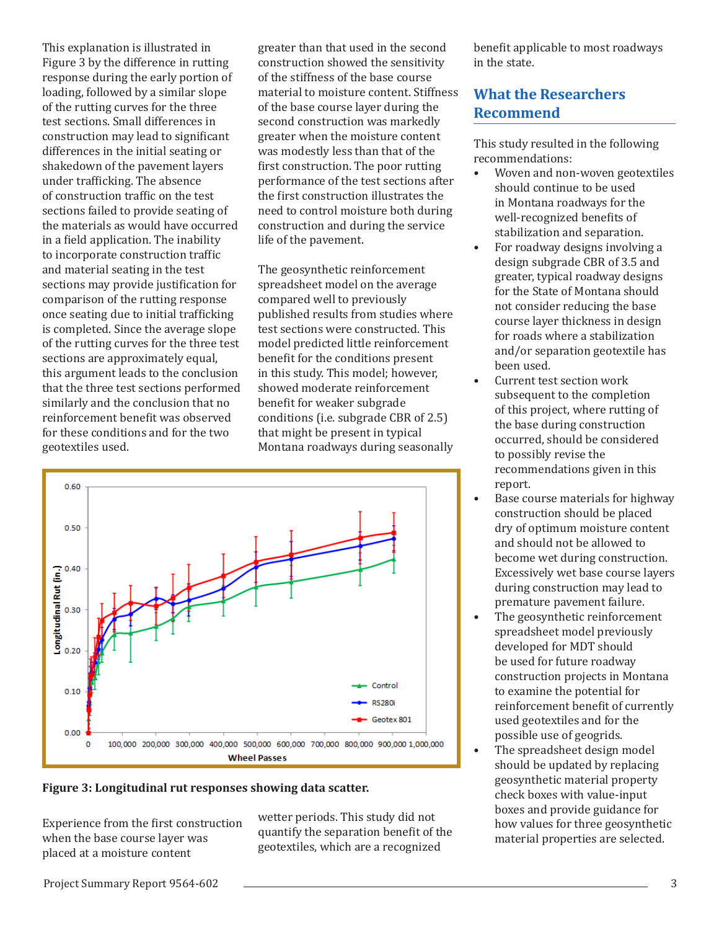This explanation is illustrated in Figure 3 by the difference in rutting response during the early portion of loading, followed by a similar slope of the rutting curves for the three test sections. Small differences in construction may lead to significant differences in the initial seating or shakedown of the pavement layers under trafficking. The absence of construction traffic on the test sections failed to provide seating of the materials as would have occurred in a field application. The inability to incorporate construction traffic and material seating in the test sections may provide justification for comparison of the rutting response once seating due to initial trafficking is completed. Since the average slope of the rutting curves for the three test sections are approximately equal, this argument leads to the conclusion that the three test sections performed similarly and the conclusion that no reinforcement benefit was observed for these conditions and for the two geotextiles used.

greater than that used in the second construction showed the sensitivity of the stiffness of the base course material to moisture content. Stiffness of the base course layer during the second construction was markedly greater when the moisture content was modestly less than that of the first construction. The poor rutting performance of the test sections after the first construction illustrates the need to control moisture both during construction and during the service life of the pavement.

The geosynthetic reinforcement spreadsheet model on the average compared well to previously published results from studies where test sections were constructed. This model predicted little reinforcement benefit for the conditions present in this study. This model; however, showed moderate reinforcement benefit for weaker subgrade conditions (i.e. subgrade CBR of 2.5) that might be present in typical Montana roadways during seasonally



#### **Figure 3: Longitudinal rut responses showing data scatter.**

Experience from the first construction when the base course layer was placed at a moisture content

wetter periods. This study did not quantify the separation benefit of the geotextiles, which are a recognized

benefit applicable to most roadways in the state.

## **What the Researchers Recommend**

This study resulted in the following recommendations:

- Woven and non-woven geotextiles should continue to be used in Montana roadways for the well-recognized benefits of stabilization and separation.
- For roadway designs involving a design subgrade CBR of 3.5 and greater, typical roadway designs for the State of Montana should not consider reducing the base course layer thickness in design for roads where a stabilization and/or separation geotextile has been used.
- Current test section work subsequent to the completion of this project, where rutting of the base during construction occurred, should be considered to possibly revise the recommendations given in this report.
- Base course materials for highway construction should be placed dry of optimum moisture content and should not be allowed to become wet during construction. Excessively wet base course layers during construction may lead to premature pavement failure.
- The geosynthetic reinforcement spreadsheet model previously developed for MDT should be used for future roadway construction projects in Montana to examine the potential for reinforcement benefit of currently used geotextiles and for the possible use of geogrids.
- The spreadsheet design model should be updated by replacing geosynthetic material property check boxes with value-input boxes and provide guidance for how values for three geosynthetic material properties are selected.